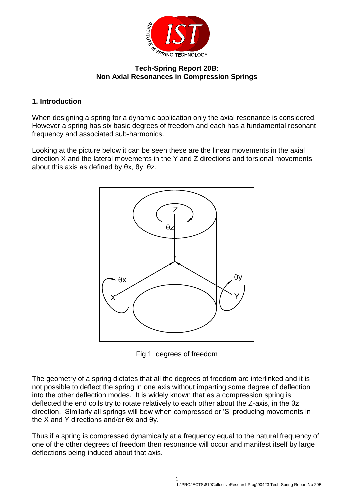

#### **Tech-Spring Report 20B: Non Axial Resonances in Compression Springs**

## **1. Introduction**

When designing a spring for a dynamic application only the axial resonance is considered. However a spring has six basic degrees of freedom and each has a fundamental resonant frequency and associated sub-harmonics.

Looking at the picture below it can be seen these are the linear movements in the axial direction X and the lateral movements in the Y and Z directions and torsional movements about this axis as defined by θx, θy, θz.



Fig 1 degrees of freedom

The geometry of a spring dictates that all the degrees of freedom are interlinked and it is not possible to deflect the spring in one axis without imparting some degree of deflection into the other deflection modes. It is widely known that as a compression spring is deflected the end coils try to rotate relatively to each other about the Z-axis, in the θz direction. Similarly all springs will bow when compressed or 'S' producing movements in the X and Y directions and/or θx and θy.

Thus if a spring is compressed dynamically at a frequency equal to the natural frequency of one of the other degrees of freedom then resonance will occur and manifest itself by large deflections being induced about that axis.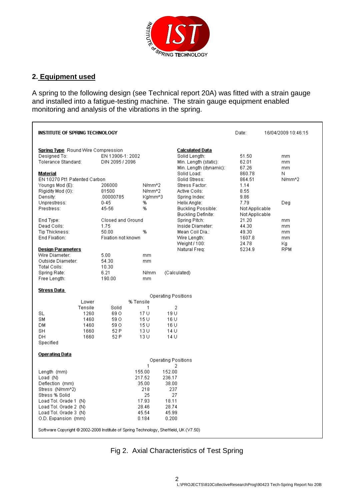

## **2. Equipment used**

A spring to the following design (see Technical report 20A) was fitted with a strain gauge and installed into a fatigue-testing machine. The strain gauge equipment enabled monitoring and analysis of the vibrations in the spring.

| <b>INSTITUTE OF SPRING TECHNOLOGY</b>                                                                                                                                                                                                                                     |                                                                                          |                                                                                 |                                                                                                                                                                                                               | Date:                                                                                         | 16/04/2009 10:46:15                              |
|---------------------------------------------------------------------------------------------------------------------------------------------------------------------------------------------------------------------------------------------------------------------------|------------------------------------------------------------------------------------------|---------------------------------------------------------------------------------|---------------------------------------------------------------------------------------------------------------------------------------------------------------------------------------------------------------|-----------------------------------------------------------------------------------------------|--------------------------------------------------|
| <b>Spring Type</b> Round Wire Compression<br>Designed To:<br>Tolerance Standard:<br>Material<br>EN 10270 Pt1 Patented Carbon<br>Youngs Mod (E):<br>Rigidity Mod (G):<br>Density:<br>Unprestress:<br>Prestress:                                                            | EN 13906-1: 2002<br>DIN 2095 / 2096<br>206000<br>81500<br>.00000785<br>$0 - 45$<br>45-56 | N/mm <sup>4</sup> 2<br>N/mm <sup>4</sup> 2<br>Kg/mm^3<br>%<br>%                 | Calculated Data<br>Solid Length:<br>Min. Length (static):<br>Min. Length (dynamic):<br>Solid Load:<br>Solid Stress:<br>Stress Factor:<br>Active Coils:<br>Spring Index:<br>Helix Angle:<br>Buckling Possible: | 51.50<br>62.01<br>67.26<br>860.78<br>864.51<br>1.14<br>8.55<br>9.86<br>7.79<br>Not Applicable | mm<br>mm<br>mm<br>Ν<br>N/mm <sup>n2</sup><br>Deg |
| End Type:<br>Dead Coils:<br>Tip Thickness:<br>End Fixation:<br><b>Design Parameters</b><br>Wire Diameter:<br>Outside Diameter:                                                                                                                                            | Closed and Ground<br>1.75<br>50.00<br>Fixation not known<br>5.00<br>54.30                | %<br>mm<br>mm                                                                   | <b>Buckling Definite:</b><br>Spring Pitch:<br>Inside Diameter:<br>Mean Coil Dia.:-<br>Wire Length:<br>Weight / 100:<br>Natural Freq:                                                                          | Not Applicable<br>21.20<br>44.30<br>49.30<br>1607.8<br>24.78<br>5234.9                        | mm<br>mm<br>mm<br>mm<br>Кg<br><b>RPM</b>         |
| Total Coils:<br>Spring Rate:<br>Free Length:                                                                                                                                                                                                                              | 10.30<br>6.21<br>190.00                                                                  | N/mm<br>mm                                                                      | (Calculated)                                                                                                                                                                                                  |                                                                                               |                                                  |
| Stress Data                                                                                                                                                                                                                                                               |                                                                                          |                                                                                 |                                                                                                                                                                                                               |                                                                                               |                                                  |
| Lower<br>Tensile<br>1260<br>SL.<br>SM<br>1460<br>1460<br>DМ<br>SН<br>1660<br>DН<br>1660<br>Specified                                                                                                                                                                      | % Tensile<br>Solid<br>69 O<br>59 O<br>59 O<br>52 P<br>52 P                               | 1<br>17 U<br>15U<br>15 U<br>13 U<br>13 U                                        | Operating Positions<br>2<br>19 U<br>16 U<br>16 U<br>14 U<br>14 U                                                                                                                                              |                                                                                               |                                                  |
| <b>Operating Data</b>                                                                                                                                                                                                                                                     |                                                                                          |                                                                                 | Operating Positions                                                                                                                                                                                           |                                                                                               |                                                  |
| Length (mm)<br>Load (N)<br>Deflection (mm)<br>Stress (N/mm^2)<br>Stress % Solid<br>Load Tol. Grade 1 (N)<br>Load Tol. Grade 2 (N)<br>Load Tol. Grade 3 (N)<br>O.D. Expansion (mm)<br>Software Copyright © 2002-2008 Institute of Spring Technology, Sheffield, UK (V7.50) |                                                                                          | 1<br>155.00<br>217.52<br>35.00<br>218<br>25<br>17.93<br>28.46<br>45.54<br>0.184 | 2<br>152.00<br>236.17<br>38.00<br>237<br>27<br>18.11<br>28.74<br>45.99<br>0.200                                                                                                                               |                                                                                               |                                                  |

Fig 2. Axial Characteristics of Test Spring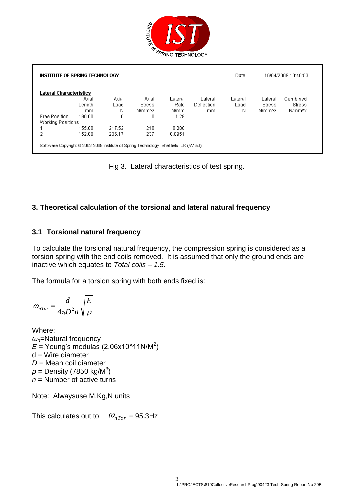

| INSTITUTE OF SPRING TECHNOLOGY |        |        |        |         |            | Date:   |                     | 16/04/2009 10:46:53 |
|--------------------------------|--------|--------|--------|---------|------------|---------|---------------------|---------------------|
| Lateral Characteristics        |        |        |        |         |            |         |                     |                     |
|                                | Axial  | Axial  | Axial  | Lateral | Lateral    | Lateral | Lateral             | Combined            |
|                                | Length | Load   | Stress | Rate    | Deflection | Load    | Stress              | Stress              |
|                                | mm     | Ν      | N/mm^2 | N/mm    | mm         | Ν       | N/mm <sup>4</sup> 2 | N/mm <sup>4</sup> 2 |
| <b>Free Position</b>           | 190.00 |        |        | 1.29    |            |         |                     |                     |
| Working Positions              |        |        |        |         |            |         |                     |                     |
|                                | 155.00 | 217.52 | 218    | 0.208   |            |         |                     |                     |
| 2                              | 152.00 | 236.17 | 237    | 0.0951  |            |         |                     |                     |

Fig 3. Lateral characteristics of test spring.

#### **3. Theoretical calculation of the torsional and lateral natural frequency**

#### **3.1 Torsional natural frequency**

To calculate the torsional natural frequency, the compression spring is considered as a torsion spring with the end coils removed. It is assumed that only the ground ends are inactive which equates to *Total coils – 1.5*.

The formula for a torsion spring with both ends fixed is:

$$
\omega_{nTor} = \frac{d}{4\pi D^2 n} \sqrt{\frac{E}{\rho}}
$$

Where: *ωn*=Natural frequency  $E$  = Young's modulas (2.06x10^11N/M<sup>2</sup>)  $d =$  Wire diameter *D* = Mean coil diameter  $\rho$  = Density (7850 kg/M<sup>3</sup>) *n* = Number of active turns

Note: Alwaysuse M,Kg,N units

This calculates out to:  $\omega_{nTor}$  = 95.3Hz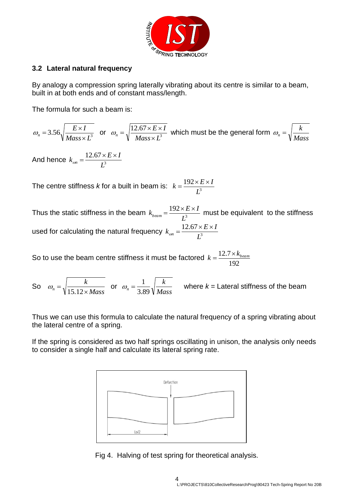

#### **3.2 Lateral natural frequency**

By analogy a compression spring laterally vibrating about its centre is similar to a beam, built in at both ends and of constant mass/length.

The formula for such a beam is:

$$
\omega_n = 3.56 \sqrt{\frac{E \times I}{Mass \times L^3}}
$$
 or  $\omega_n = \sqrt{\frac{12.67 \times E \times I}{Mass \times L^3}}$  which must be the general form  $\omega_n = \sqrt{\frac{k}{Mass}}$ 

And hence  $k_{on} = \frac{12.07 \times 10^{-4}}{I^3}$ 12.67 *L*  $k_{on} = \frac{12.67 \times E \times I}{I^3}$  $\frac{1}{\omega n} =$ 

The centre stiffness *k* for a built in beam is:  $k = \frac{152 \times 1}{l^3}$ 192 *L*  $k = \frac{192 \times E \times I}{I}$ 

Thus the static stiffness in the beam  $k_{beam} = \frac{1.22 \times 10^{14}}{I^3}$ 192 *L*  $k_{\text{beam}} = \frac{192 \times E \times I}{I^3}$  must be equivalent to the stiffness used for calculating the natural frequency  $k_{\text{on}} = \frac{12.67 \times 10^{-3}}{I^3}$ 12.67 *L*  $k_{on} = \frac{12.67 \times E \times I}{I^3}$  $\frac{1}{\omega n}$  =

So to use the beam centre stiffness it must be factored 192  $k = \frac{12.7 \times k_{beam}}{122}$ 

So *Mass k*  $n = \sqrt{15.12 \times}$  $=$ 15.12  $\omega_n = \sqrt{\frac{k}{\sqrt{1-4(1-\lambda_0)}}}$  or *Mass k*  $n - 3.89$ 

 $\omega_n = \frac{1}{2.008} \sqrt{\frac{k}{15}}$  where  $k =$  Lateral stiffness of the beam

Thus we can use this formula to calculate the natural frequency of a spring vibrating about the lateral centre of a spring.

If the spring is considered as two half springs oscillating in unison, the analysis only needs to consider a single half and calculate its lateral spring rate.



Fig 4. Halving of test spring for theoretical analysis.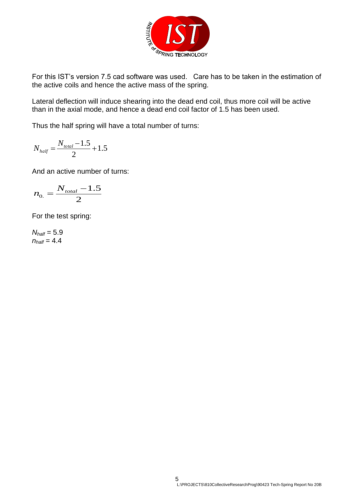

For this IST's version 7.5 cad software was used. Care has to be taken in the estimation of the active coils and hence the active mass of the spring.

Lateral deflection will induce shearing into the dead end coil, thus more coil will be active than in the axial mode, and hence a dead end coil factor of 1.5 has been used.

Thus the half spring will have a total number of turns:

$$
N_{\text{half}} = \frac{N_{\text{total}} - 1.5}{2} + 1.5
$$

And an active number of turns:

$$
n_{0.} = \frac{N_{\text{total}} - 1.5}{2}
$$

For the test spring:

*Nhalf* = 5.9  $n_{half} = 4.4$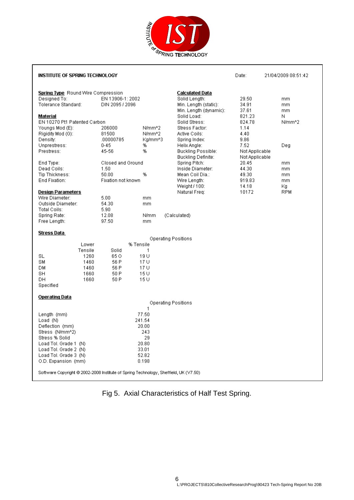

| <b>INSTITUTE OF SPRING TECHNOLOGY</b>                                                |                           |                                 |                                   | Date:          | 21/04/2009 08:51:42 |
|--------------------------------------------------------------------------------------|---------------------------|---------------------------------|-----------------------------------|----------------|---------------------|
|                                                                                      |                           |                                 |                                   |                |                     |
| Spring Type Round Wire Compression                                                   |                           |                                 | Calculated Data                   |                |                     |
| Designed To:                                                                         | EN 13906-1: 2002          |                                 | Solid Length:                     | 29.50          | <sub>mm</sub>       |
| Tolerance Standard:                                                                  | DIN 2095 / 2096           |                                 | Min. Length (static):             | 34.91          | mm.                 |
|                                                                                      |                           |                                 | Min. Length (dynamic):            | 37.61          | mm.                 |
| Material                                                                             |                           |                                 | Solid Load:                       | 821.23         | Ν                   |
| EN 10270 Pt1 Patented Carbon                                                         |                           |                                 | Solid Stress:                     | 824.78         | N/mm <sup>^2</sup>  |
| Youngs Mod (E):                                                                      | 206000                    | N/mm <sup>4</sup> 2             | Stress Factor:                    | 1.14           |                     |
| Rigidity Mod (G):                                                                    | 81500                     | N/mm <sup>A</sup> 2             | Active Coils:                     | 4.40           |                     |
| Density:                                                                             | .00000785                 | Ka/mm^3                         | Spring Index:                     | 9.86           |                     |
| Unprestress:                                                                         | $0 - 45$                  | %                               | Helix Angle:                      | 7.52           | Deg                 |
| Prestress:                                                                           | 45-56                     | %                               | <b>Buckling Possible:</b>         | Not Applicable |                     |
|                                                                                      |                           |                                 | Buckling Definite:                | Not Applicable |                     |
| End Type:<br>Dead Coils:                                                             | Closed and Ground<br>1.50 |                                 | Spring Pitch:<br>Inside Diameter: | 20.45<br>44.30 | mm                  |
| Tip Thickness:                                                                       | 50.00                     | %                               | Mean Coil Dia.:                   | 49.30          | mm                  |
| End Fixation:                                                                        | Fixation not known        |                                 | Wire Length:                      | 919.83         | mm<br>mm.           |
|                                                                                      |                           |                                 | Weight / 100:                     | 14.18          | Κg                  |
| <b>Design Parameters</b>                                                             |                           |                                 | Natural Freq:                     | 10172          | <b>RPM</b>          |
| Wire Diameter:                                                                       | 5.00                      | mm                              |                                   |                |                     |
| Outside Diameter:                                                                    | 54.30                     | mm                              |                                   |                |                     |
| Total Coils:                                                                         | 5.90                      |                                 |                                   |                |                     |
| Spring Rate:                                                                         | 12.08                     | N/mm                            | (Calculated)                      |                |                     |
| Free Length:                                                                         | 97.50                     | mm                              |                                   |                |                     |
|                                                                                      |                           |                                 |                                   |                |                     |
| Stress Data                                                                          |                           | <b>Operating Positions</b>      |                                   |                |                     |
| Lower                                                                                | % Tensile                 |                                 |                                   |                |                     |
| Tensile                                                                              | Solid                     | 1                               |                                   |                |                     |
| <b>SL</b><br>1260                                                                    | 65 O                      | 19 U                            |                                   |                |                     |
| SM<br>1460                                                                           | 56 P                      | 17 U                            |                                   |                |                     |
| DМ<br>1460                                                                           | 56 P                      | 17 U                            |                                   |                |                     |
| SH<br>1660                                                                           | 50 P                      | 15 U                            |                                   |                |                     |
| DH.<br>1660                                                                          | 50 P                      | 15 U                            |                                   |                |                     |
| Specified                                                                            |                           |                                 |                                   |                |                     |
| <b>Operating Data</b>                                                                |                           |                                 |                                   |                |                     |
|                                                                                      |                           | <b>Operating Positions</b><br>1 |                                   |                |                     |
| Length (mm)                                                                          |                           | 77.50                           |                                   |                |                     |
| Load(N)                                                                              |                           | 241.54                          |                                   |                |                     |
| Deflection (mm)                                                                      |                           | 20.00                           |                                   |                |                     |
| Stress (N/mm^2)                                                                      |                           | 243                             |                                   |                |                     |
| Stress % Solid                                                                       |                           | 29                              |                                   |                |                     |
| Load Tol. Grade 1 (N)                                                                |                           | 20.80                           |                                   |                |                     |
| Load Tol. Grade 2 (N)                                                                |                           | 33.01                           |                                   |                |                     |
| Load Tol. Grade 3 (N)                                                                |                           | 52.82                           |                                   |                |                     |
| O.D. Expansion (mm)                                                                  |                           | 0.198                           |                                   |                |                     |
|                                                                                      |                           |                                 |                                   |                |                     |
| Software Copyright @ 2002-2008 Institute of Spring Technology, Sheffield, UK (V7.50) |                           |                                 |                                   |                |                     |

Fig 5. Axial Characteristics of Half Test Spring.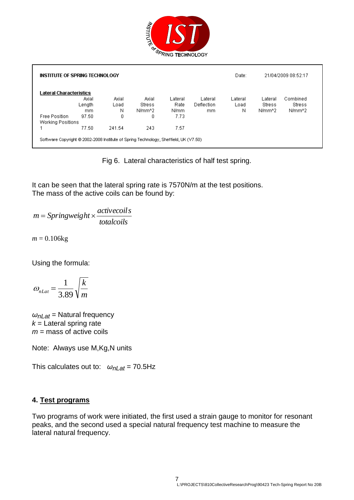

| INSTITUTE OF SPRING TECHNOLOGY |        |        |        |         |               | Date:   |                    | 21/04/2009 08:52:17 |
|--------------------------------|--------|--------|--------|---------|---------------|---------|--------------------|---------------------|
| Lateral Characteristics        |        |        |        |         |               |         |                    |                     |
|                                | Axial  | Axial  | Axial  | Lateral | Lateral       | Lateral | Lateral            | Combined            |
|                                | Length | Load   | Stress | Rate    | Deflection    | Load    | Stress             | Stress              |
|                                | mm     | N      | N/mm^2 | N/mm    | <sub>mm</sub> | Ν       | N/mm <sup>n2</sup> | N/mm <sup>n</sup> 2 |
| Free Position                  | 97.50  | 0      | 0      | 7.73    |               |         |                    |                     |
| Working Positions              |        |        |        |         |               |         |                    |                     |
|                                | 77.50  | 241.54 | 243    | 7.57    |               |         |                    |                     |

Fig 6. Lateral characteristics of half test spring.

It can be seen that the lateral spring rate is 7570N/m at the test positions. The mass of the active coils can be found by:

*totalcoils activecoils m Springweight*

 $m = 0.106$ kg

Using the formula:

$$
\omega_{nLat} = \frac{1}{3.89} \sqrt{\frac{k}{m}}
$$

*ωnLat* = Natural frequency  $k =$  Lateral spring rate *m* = mass of active coils

Note: Always use M,Kg,N units

This calculates out to: *ωnLat* = 70.5Hz

#### **4. Test programs**

Two programs of work were initiated, the first used a strain gauge to monitor for resonant peaks, and the second used a special natural frequency test machine to measure the lateral natural frequency.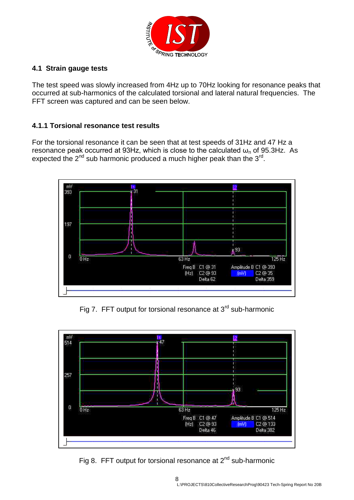

## **4.1 Strain gauge tests**

The test speed was slowly increased from 4Hz up to 70Hz looking for resonance peaks that occurred at sub-harmonics of the calculated torsional and lateral natural frequencies. The FFT screen was captured and can be seen below.

## **4.1.1 Torsional resonance test results**

For the torsional resonance it can be seen that at test speeds of 31Hz and 47 Hz a resonance peak occurred at 93Hz, which is close to the calculated  $\omega_{n}$  of 95.3Hz. As expected the  $2^{nd}$  sub harmonic produced a much higher peak than the  $3^{rd}$ .



Fig 7. FFT output for torsional resonance at  $3<sup>rd</sup>$  sub-harmonic



Fig 8. FFT output for torsional resonance at  $2^{nd}$  sub-harmonic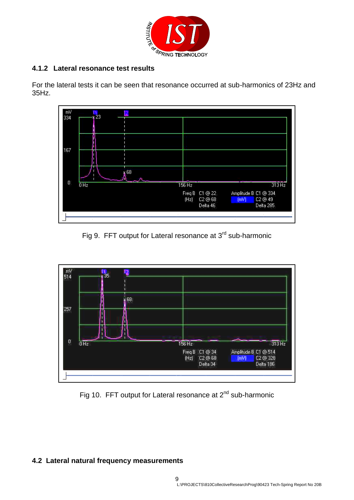

# **4.1.2 Lateral resonance test results**

For the lateral tests it can be seen that resonance occurred at sub-harmonics of 23Hz and 35Hz.



Fig 9. FFT output for Lateral resonance at 3<sup>rd</sup> sub-harmonic



Fig 10. FFT output for Lateral resonance at 2<sup>nd</sup> sub-harmonic

#### **4.2 Lateral natural frequency measurements**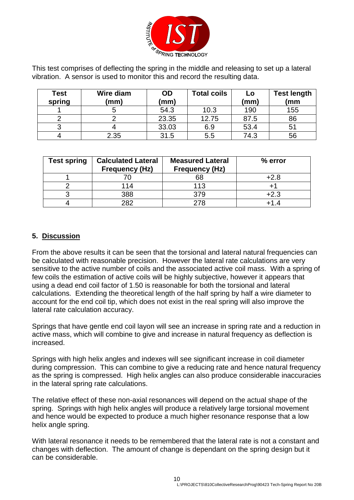

This test comprises of deflecting the spring in the middle and releasing to set up a lateral vibration. A sensor is used to monitor this and record the resulting data.

| Test<br>spring | Wire diam<br>(mm) | <b>OD</b><br>(mm) | <b>Total coils</b> | Lo<br>(mm) | <b>Test length</b><br>(mm |
|----------------|-------------------|-------------------|--------------------|------------|---------------------------|
|                |                   | 54.3              | 10.3               | 190        | 155                       |
|                |                   | 23.35             | 12.75              | 87.5       | 86                        |
|                |                   | 33.03             | 6.9                | 53.4       | 51                        |
|                | 2.35              | 31.5              | 5.5                | 74.3       | 56                        |

| <b>Test spring</b> | <b>Calculated Lateral</b><br><b>Frequency (Hz)</b> | <b>Measured Lateral</b><br><b>Frequency (Hz)</b> | % error |
|--------------------|----------------------------------------------------|--------------------------------------------------|---------|
|                    |                                                    | 68                                               | $+2.8$  |
|                    | 114                                                | 113                                              |         |
|                    | 388                                                | 379                                              | $+2.3$  |
|                    | つぬつ                                                | 278                                              |         |

#### **5. Discussion**

From the above results it can be seen that the torsional and lateral natural frequencies can be calculated with reasonable precision. However the lateral rate calculations are very sensitive to the active number of coils and the associated active coil mass. With a spring of few coils the estimation of active coils will be highly subjective, however it appears that using a dead end coil factor of 1.50 is reasonable for both the torsional and lateral calculations. Extending the theoretical length of the half spring by half a wire diameter to account for the end coil tip, which does not exist in the real spring will also improve the lateral rate calculation accuracy.

Springs that have gentle end coil layon will see an increase in spring rate and a reduction in active mass, which will combine to give and increase in natural frequency as deflection is increased.

Springs with high helix angles and indexes will see significant increase in coil diameter during compression. This can combine to give a reducing rate and hence natural frequency as the spring is compressed. High helix angles can also produce considerable inaccuracies in the lateral spring rate calculations.

The relative effect of these non-axial resonances will depend on the actual shape of the spring. Springs with high helix angles will produce a relatively large torsional movement and hence would be expected to produce a much higher resonance response that a low helix angle spring.

With lateral resonance it needs to be remembered that the lateral rate is not a constant and changes with deflection. The amount of change is dependant on the spring design but it can be considerable.